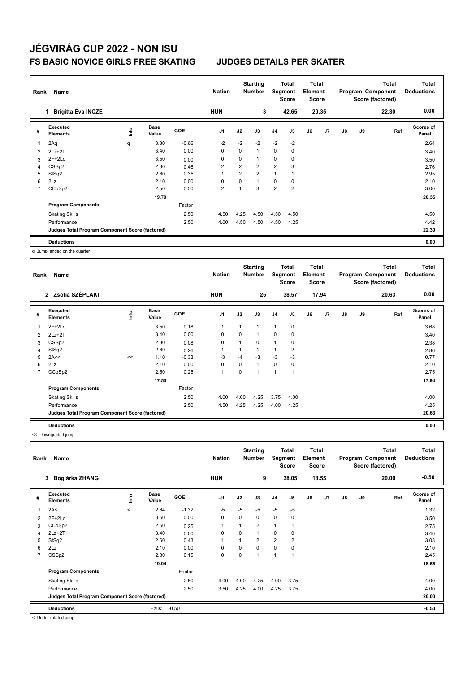|                | Name<br>Rank<br><b>Brigitta Éva INCZE</b><br>1  |      |                      |         | <b>Nation</b>  |                | <b>Starting</b><br><b>Number</b> | Segment        | Total<br><b>Score</b> | <b>Total</b><br>Element<br><b>Score</b> |       |               |    | <b>Total</b><br>Program Component<br>Score (factored) | Total<br><b>Deductions</b> |
|----------------|-------------------------------------------------|------|----------------------|---------|----------------|----------------|----------------------------------|----------------|-----------------------|-----------------------------------------|-------|---------------|----|-------------------------------------------------------|----------------------------|
|                |                                                 |      |                      |         | <b>HUN</b>     |                | 3                                |                | 42.65                 |                                         | 20.35 |               |    | 22.30                                                 | 0.00                       |
| #              | Executed<br><b>Elements</b>                     | lnfo | <b>Base</b><br>Value | GOE     | J <sub>1</sub> | J2             | J3                               | J <sub>4</sub> | J <sub>5</sub>        | J6                                      | J7    | $\mathsf{J}8$ | J9 | Ref                                                   | <b>Scores of</b><br>Panel  |
| 1              | 2Aq                                             | q    | 3.30                 | $-0.66$ | $-2$           | $-2$           | $-2$                             | $-2$           | $-2$                  |                                         |       |               |    |                                                       | 2.64                       |
| 2              | $2Lz+2T$                                        |      | 3.40                 | 0.00    | $\mathbf 0$    | $\mathbf 0$    | $\mathbf{1}$                     | $\mathbf 0$    | $\pmb{0}$             |                                         |       |               |    |                                                       | 3.40                       |
| 3              | $2F+2Lo$                                        |      | 3.50                 | 0.00    | 0              | $\mathbf 0$    | $\mathbf{1}$                     | 0              | 0                     |                                         |       |               |    |                                                       | 3.50                       |
| 4              | CSS <sub>p2</sub>                               |      | 2.30                 | 0.46    | $\overline{2}$ | 2              | $\overline{2}$                   | 2              | 3                     |                                         |       |               |    |                                                       | 2.76                       |
| 5              | StSq2                                           |      | 2.60                 | 0.35    | 1              | $\overline{2}$ | $\overline{2}$                   | 1              |                       |                                         |       |               |    |                                                       | 2.95                       |
| 6              | 2Lz                                             |      | 2.10                 | 0.00    | 0              | 0              | $\mathbf{1}$                     | 0              | 0                     |                                         |       |               |    |                                                       | 2.10                       |
| $\overline{7}$ | CCoSp2                                          |      | 2.50                 | 0.50    | $\overline{2}$ |                | 3                                | $\overline{2}$ | $\overline{2}$        |                                         |       |               |    |                                                       | 3.00                       |
|                |                                                 |      | 19.70                |         |                |                |                                  |                |                       |                                         |       |               |    |                                                       | 20.35                      |
|                | <b>Program Components</b>                       |      |                      | Factor  |                |                |                                  |                |                       |                                         |       |               |    |                                                       |                            |
|                | <b>Skating Skills</b>                           |      |                      | 2.50    | 4.50           | 4.25           | 4.50                             | 4.50           | 4.50                  |                                         |       |               |    |                                                       | 4.50                       |
|                | Performance                                     |      |                      | 2.50    | 4.00           | 4.50           | 4.50                             | 4.50           | 4.25                  |                                         |       |               |    |                                                       | 4.42                       |
|                | Judges Total Program Component Score (factored) |      |                      |         |                |                |                                  |                |                       |                                         |       |               |    |                                                       | 22.30                      |
|                | <b>Deductions</b>                               |      |                      |         |                |                |                                  |                |                       |                                         |       |               |    |                                                       | 0.00                       |

q Jump landed on the quarter

| Rank | Name<br>Zsófia SZÉPLAKI<br>$\mathbf{2}$         |    |                      |         |                |      | <b>Starting</b><br><b>Number</b> |             | Total<br>Segment<br>Score | <b>Total</b><br>Element<br><b>Score</b> |       |               |    | <b>Total</b><br>Program Component<br>Score (factored) | <b>Total</b><br><b>Deductions</b> |
|------|-------------------------------------------------|----|----------------------|---------|----------------|------|----------------------------------|-------------|---------------------------|-----------------------------------------|-------|---------------|----|-------------------------------------------------------|-----------------------------------|
|      |                                                 |    |                      |         | <b>HUN</b>     |      | 25                               |             | 38.57                     |                                         | 17.94 |               |    | 20.63                                                 | 0.00                              |
| #    | Executed<br><b>Elements</b>                     | ۴ů | <b>Base</b><br>Value | GOE     | J <sub>1</sub> | J2   | J3                               | J4          | J5                        | J6                                      | J7    | $\mathsf{J}8$ | J9 | Ref                                                   | <b>Scores of</b><br>Panel         |
| 1    | $2F+2Lo$                                        |    | 3.50                 | 0.18    | 1              | 1    | 1                                | 1           | 0                         |                                         |       |               |    |                                                       | 3.68                              |
| 2    | $2Lz+2T$                                        |    | 3.40                 | 0.00    | $\mathbf 0$    | 0    | 1                                | $\mathbf 0$ | $\mathbf 0$               |                                         |       |               |    |                                                       | 3.40                              |
| 3    | CSS <sub>p2</sub>                               |    | 2.30                 | 0.08    | 0              | 1    | 0                                | 1           | 0                         |                                         |       |               |    |                                                       | 2.38                              |
| 4    | StSq2                                           |    | 2.60                 | 0.26    | 1              | 1    | $\overline{1}$                   |             | 2                         |                                         |       |               |    |                                                       | 2.86                              |
| 5    | 2A<<                                            | << | 1.10                 | $-0.33$ | -3             | $-4$ | $-3$                             | $-3$        | -3                        |                                         |       |               |    |                                                       | 0.77                              |
| 6    | 2Lz                                             |    | 2.10                 | 0.00    | 0              | 0    | 1                                | $\pmb{0}$   | 0                         |                                         |       |               |    |                                                       | 2.10                              |
| 7    | CCoSp2                                          |    | 2.50                 | 0.25    | $\mathbf{1}$   | 0    |                                  | 1           | 1                         |                                         |       |               |    |                                                       | 2.75                              |
|      |                                                 |    | 17.50                |         |                |      |                                  |             |                           |                                         |       |               |    |                                                       | 17.94                             |
|      | <b>Program Components</b>                       |    |                      | Factor  |                |      |                                  |             |                           |                                         |       |               |    |                                                       |                                   |
|      | <b>Skating Skills</b>                           |    |                      | 2.50    | 4.00           | 4.00 | 4.25                             | 3.75        | 4.00                      |                                         |       |               |    |                                                       | 4.00                              |
|      | Performance                                     |    |                      | 2.50    | 4.50           | 4.25 | 4.25                             | 4.00        | 4.25                      |                                         |       |               |    |                                                       | 4.25                              |
|      | Judges Total Program Component Score (factored) |    |                      |         |                |      |                                  |             |                           |                                         |       |               |    |                                                       | 20.63                             |
|      | <b>Deductions</b>                               |    |                      |         |                |      |                                  |             |                           |                                         |       |               |    |                                                       | 0.00                              |

<< Downgraded jump

| Rank           | Name                                            |         |                      |            | <b>Nation</b>  |                | <b>Starting</b><br><b>Number</b> | Segment        | <b>Total</b><br><b>Score</b> | <b>Total</b><br>Element<br><b>Score</b> |       |               |    | <b>Total</b><br>Program Component<br>Score (factored) | Total<br><b>Deductions</b> |
|----------------|-------------------------------------------------|---------|----------------------|------------|----------------|----------------|----------------------------------|----------------|------------------------------|-----------------------------------------|-------|---------------|----|-------------------------------------------------------|----------------------------|
|                | Boglárka ZHANG<br>3                             |         |                      |            | <b>HUN</b>     |                | 9                                |                | 38.05                        |                                         | 18.55 |               |    | 20.00                                                 | $-0.50$                    |
| #              | Executed<br><b>Elements</b>                     | ١nfo    | <b>Base</b><br>Value | <b>GOE</b> | J <sub>1</sub> | J2             | J3                               | J4             | J5                           | J6                                      | J7    | $\mathsf{J}8$ | J9 | Ref                                                   | Scores of<br>Panel         |
|                | 2A<                                             | $\prec$ | 2.64                 | $-1.32$    | $-5$           | $-5$           | $-5$                             | $-5$           | $-5$                         |                                         |       |               |    |                                                       | 1.32                       |
| 2              | $2F+2Lo$                                        |         | 3.50                 | 0.00       | $\mathbf 0$    | 0              | 0                                | $\mathbf 0$    | 0                            |                                         |       |               |    |                                                       | 3.50                       |
| 3              | CCoSp2                                          |         | 2.50                 | 0.25       | $\mathbf{1}$   | $\overline{1}$ | $\overline{2}$                   | $\mathbf{1}$   |                              |                                         |       |               |    |                                                       | 2.75                       |
| 4              | $2Lz + 2T$                                      |         | 3.40                 | 0.00       | 0              | $\Omega$       | 1                                | 0              | 0                            |                                         |       |               |    |                                                       | 3.40                       |
| 5              | StSq2                                           |         | 2.60                 | 0.43       | $\overline{1}$ |                | $\overline{2}$                   | $\overline{2}$ | $\overline{2}$               |                                         |       |               |    |                                                       | 3.03                       |
| 6              | 2Lz                                             |         | 2.10                 | 0.00       | 0              | 0              | 0                                | 0              | 0                            |                                         |       |               |    |                                                       | 2.10                       |
| $\overline{7}$ | CSS <sub>p2</sub>                               |         | 2.30                 | 0.15       | 0              | 0              | 1                                | $\overline{1}$ | 4                            |                                         |       |               |    |                                                       | 2.45                       |
|                |                                                 |         | 19.04                |            |                |                |                                  |                |                              |                                         |       |               |    |                                                       | 18.55                      |
|                | <b>Program Components</b>                       |         |                      | Factor     |                |                |                                  |                |                              |                                         |       |               |    |                                                       |                            |
|                | <b>Skating Skills</b>                           |         |                      | 2.50       | 4.00           | 4.00           | 4.25                             | 4.00           | 3.75                         |                                         |       |               |    |                                                       | 4.00                       |
|                | Performance                                     |         |                      | 2.50       | 3.50           | 4.25           | 4.00                             | 4.25           | 3.75                         |                                         |       |               |    |                                                       | 4.00                       |
|                | Judges Total Program Component Score (factored) |         |                      |            |                |                |                                  |                |                              |                                         |       |               |    |                                                       | 20.00                      |
|                | <b>Deductions</b>                               |         | Falls:               | $-0.50$    |                |                |                                  |                |                              |                                         |       |               |    |                                                       | $-0.50$                    |

< Under-rotated jump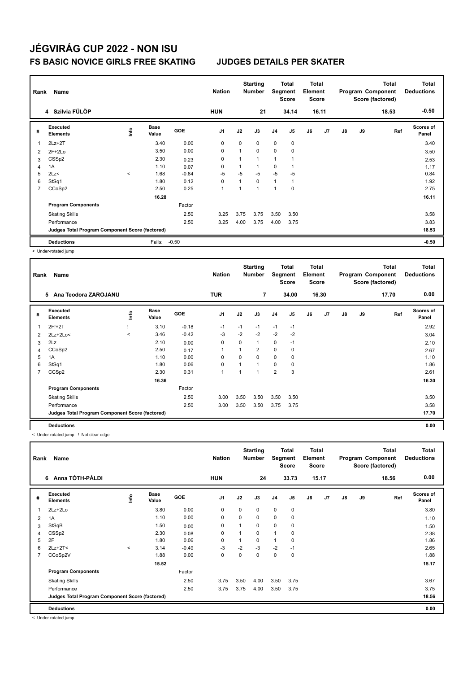| Rank | Name                                            | <b>Nation</b> |                      | <b>Starting</b><br><b>Number</b> | Segment        | Total<br><b>Score</b>    | <b>Total</b><br>Element<br><b>Score</b> |                |                |    | <b>Total</b><br>Program Component<br>Score (factored) | <b>Total</b><br><b>Deductions</b> |    |       |                           |
|------|-------------------------------------------------|---------------|----------------------|----------------------------------|----------------|--------------------------|-----------------------------------------|----------------|----------------|----|-------------------------------------------------------|-----------------------------------|----|-------|---------------------------|
|      | 4 Szilvia FÜLÖP                                 |               |                      |                                  | <b>HUN</b>     |                          | 21                                      |                | 34.14          |    | 16.11                                                 |                                   |    | 18.53 | $-0.50$                   |
| #    | Executed<br><b>Elements</b>                     | ١nf٥          | <b>Base</b><br>Value | <b>GOE</b>                       | J <sub>1</sub> | J2                       | J3                                      | J4             | J <sub>5</sub> | J6 | J7                                                    | $\mathsf{J}8$                     | J9 | Ref   | <b>Scores of</b><br>Panel |
| 1    | $2Lz+2T$                                        |               | 3.40                 | 0.00                             | 0              | 0                        | 0                                       | $\mathbf 0$    | $\pmb{0}$      |    |                                                       |                                   |    |       | 3.40                      |
| 2    | $2F+2Lo$                                        |               | 3.50                 | 0.00                             | 0              | 1                        | $\Omega$                                | 0              | $\mathbf 0$    |    |                                                       |                                   |    |       | 3.50                      |
| 3    | CSS <sub>p2</sub>                               |               | 2.30                 | 0.23                             | 0              | 1                        | $\overline{1}$                          | 1              |                |    |                                                       |                                   |    |       | 2.53                      |
| 4    | 1A                                              |               | 1.10                 | 0.07                             | $\Omega$       | $\mathbf{1}$             | $\mathbf{1}$                            | 0              |                |    |                                                       |                                   |    |       | 1.17                      |
| 5    | 2Lz                                             | $\prec$       | 1.68                 | $-0.84$                          | $-5$           | $-5$                     | $-5$                                    | $-5$           | $-5$           |    |                                                       |                                   |    |       | 0.84                      |
| 6    | StSq1                                           |               | 1.80                 | 0.12                             | $\mathbf 0$    | $\mathbf{1}$             | $\mathbf 0$                             | $\mathbf{1}$   |                |    |                                                       |                                   |    |       | 1.92                      |
| 7    | CCoSp2                                          |               | 2.50                 | 0.25                             | 1              | $\overline{\phantom{a}}$ | 1                                       | $\overline{1}$ | $\mathbf 0$    |    |                                                       |                                   |    |       | 2.75                      |
|      |                                                 |               | 16.28                |                                  |                |                          |                                         |                |                |    |                                                       |                                   |    |       | 16.11                     |
|      | <b>Program Components</b>                       |               |                      | Factor                           |                |                          |                                         |                |                |    |                                                       |                                   |    |       |                           |
|      | <b>Skating Skills</b>                           |               |                      | 2.50                             | 3.25           | 3.75                     | 3.75                                    | 3.50           | 3.50           |    |                                                       |                                   |    |       | 3.58                      |
|      | Performance                                     |               |                      | 2.50                             | 3.25           | 4.00                     | 3.75                                    | 4.00           | 3.75           |    |                                                       |                                   |    |       | 3.83                      |
|      | Judges Total Program Component Score (factored) |               |                      |                                  |                |                          |                                         |                |                |    |                                                       |                                   |    |       | 18.53                     |
|      | <b>Deductions</b>                               |               | Falls:               | $-0.50$                          |                |                          |                                         |                |                |    |                                                       |                                   |    |       | $-0.50$                   |

< Under-rotated jump

| Rank           | Name                                            |         | <b>Nation</b>        |            | <b>Starting</b><br><b>Number</b> | Segment  | <b>Total</b><br><b>Score</b> | Total<br>Element<br><b>Score</b> |             |    |                | <b>Total</b><br>Program Component<br>Score (factored) | <b>Total</b><br><b>Deductions</b> |       |                           |
|----------------|-------------------------------------------------|---------|----------------------|------------|----------------------------------|----------|------------------------------|----------------------------------|-------------|----|----------------|-------------------------------------------------------|-----------------------------------|-------|---------------------------|
|                | 5<br>Ana Teodora ZAROJANU                       |         |                      |            | <b>TUR</b>                       |          | 7                            |                                  | 34.00       |    | 16.30          |                                                       |                                   | 17.70 | 0.00                      |
| #              | <b>Executed</b><br><b>Elements</b>              | ١nf٥    | <b>Base</b><br>Value | <b>GOE</b> | J <sub>1</sub>                   | J2       | J3                           | J <sub>4</sub>                   | J5          | J6 | J <sub>7</sub> | $\mathsf{J}8$                                         | J9                                | Ref   | <b>Scores of</b><br>Panel |
| 1              | 2F!+2T                                          |         | 3.10                 | $-0.18$    | $-1$                             | $-1$     | $-1$                         | $-1$                             | $-1$        |    |                |                                                       |                                   |       | 2.92                      |
| $\overline{2}$ | $2Lz+2Lo<$                                      | $\prec$ | 3.46                 | $-0.42$    | $-3$                             | $-2$     | $-2$                         | $-2$                             | $-2$        |    |                |                                                       |                                   |       | 3.04                      |
| 3              | 2Lz                                             |         | 2.10                 | 0.00       | $\mathbf 0$                      | $\Omega$ | 1                            | $\mathbf 0$                      | $-1$        |    |                |                                                       |                                   |       | 2.10                      |
| 4              | CCoSp2                                          |         | 2.50                 | 0.17       | 1                                |          | 2                            | $\mathbf 0$                      | 0           |    |                |                                                       |                                   |       | 2.67                      |
| 5              | 1A                                              |         | 1.10                 | 0.00       | 0                                | 0        | 0                            | $\mathbf 0$                      | $\mathbf 0$ |    |                |                                                       |                                   |       | 1.10                      |
| 6              | StSq1                                           |         | 1.80                 | 0.06       | 0                                | 1        | 1                            | 0                                | 0           |    |                |                                                       |                                   |       | 1.86                      |
|                | CCS <sub>p2</sub>                               |         | 2.30                 | 0.31       | 1                                | 1        | 1                            | $\overline{2}$                   | 3           |    |                |                                                       |                                   |       | 2.61                      |
|                |                                                 |         | 16.36                |            |                                  |          |                              |                                  |             |    |                |                                                       |                                   |       | 16.30                     |
|                | <b>Program Components</b>                       |         |                      | Factor     |                                  |          |                              |                                  |             |    |                |                                                       |                                   |       |                           |
|                | <b>Skating Skills</b>                           |         |                      | 2.50       | 3.00                             | 3.50     | 3.50                         | 3.50                             | 3.50        |    |                |                                                       |                                   |       | 3.50                      |
|                | Performance                                     |         |                      | 2.50       | 3.00                             | 3.50     | 3.50                         | 3.75                             | 3.75        |    |                |                                                       |                                   |       | 3.58                      |
|                | Judges Total Program Component Score (factored) |         |                      |            |                                  |          |                              |                                  |             |    |                |                                                       |                                   |       | 17.70                     |
|                | <b>Deductions</b>                               |         |                      |            |                                  |          |                              |                                  |             |    |                |                                                       |                                   |       | 0.00                      |

< Under-rotated jump ! Not clear edge

| Rank | Name                                            | <b>Nation</b> |                      | <b>Starting</b><br><b>Number</b> | Segment        | <b>Total</b><br><b>Score</b> | <b>Total</b><br>Element<br><b>Score</b> |              |             |    | <b>Total</b><br>Program Component<br>Score (factored) | <b>Total</b><br><b>Deductions</b> |    |       |                    |
|------|-------------------------------------------------|---------------|----------------------|----------------------------------|----------------|------------------------------|-----------------------------------------|--------------|-------------|----|-------------------------------------------------------|-----------------------------------|----|-------|--------------------|
|      | Anna TÓTH-PÁLDI<br>6                            |               |                      |                                  | <b>HUN</b>     |                              | 24                                      |              | 33.73       |    | 15.17                                                 |                                   |    | 18.56 | 0.00               |
| #    | Executed<br><b>Elements</b>                     | ۴             | <b>Base</b><br>Value | <b>GOE</b>                       | J <sub>1</sub> | J2                           | J3                                      | J4           | J5          | J6 | J7                                                    | $\mathsf{J}8$                     | J9 | Ref   | Scores of<br>Panel |
|      | $2Lz+2Lo$                                       |               | 3.80                 | 0.00                             | $\mathbf 0$    | $\Omega$                     | $\mathbf 0$                             | $\mathbf 0$  | $\mathbf 0$ |    |                                                       |                                   |    |       | 3.80               |
| 2    | 1A                                              |               | 1.10                 | 0.00                             | $\mathbf 0$    | 0                            | 0                                       | $\mathbf 0$  | 0           |    |                                                       |                                   |    |       | 1.10               |
| 3    | StSqB                                           |               | 1.50                 | 0.00                             | 0              | 1                            | 0                                       | 0            | 0           |    |                                                       |                                   |    |       | 1.50               |
| 4    | CSSp2                                           |               | 2.30                 | 0.08                             | 0              | 1                            | 0                                       | $\mathbf{1}$ | 0           |    |                                                       |                                   |    |       | 2.38               |
| 5    | 2F                                              |               | 1.80                 | 0.06                             | 0              |                              | 0                                       | 1            | 0           |    |                                                       |                                   |    |       | 1.86               |
| 6    | $2Lz+2T2$                                       | $\,<\,$       | 3.14                 | $-0.49$                          | -3             | $-2$                         | $-3$                                    | $-2$         | $-1$        |    |                                                       |                                   |    |       | 2.65               |
| 7    | CCoSp2V                                         |               | 1.88                 | 0.00                             | 0              | 0                            | 0                                       | 0            | 0           |    |                                                       |                                   |    |       | 1.88               |
|      |                                                 |               | 15.52                |                                  |                |                              |                                         |              |             |    |                                                       |                                   |    |       | 15.17              |
|      | <b>Program Components</b>                       |               |                      | Factor                           |                |                              |                                         |              |             |    |                                                       |                                   |    |       |                    |
|      | <b>Skating Skills</b>                           |               |                      | 2.50                             | 3.75           | 3.50                         | 4.00                                    | 3.50         | 3.75        |    |                                                       |                                   |    |       | 3.67               |
|      | Performance                                     |               |                      | 2.50                             | 3.75           | 3.75                         | 4.00                                    | 3.50         | 3.75        |    |                                                       |                                   |    |       | 3.75               |
|      | Judges Total Program Component Score (factored) |               |                      |                                  |                |                              |                                         |              |             |    |                                                       |                                   |    |       | 18.56              |
|      | <b>Deductions</b>                               |               |                      |                                  |                |                              |                                         |              |             |    |                                                       |                                   |    |       | 0.00               |

< Under-rotated jump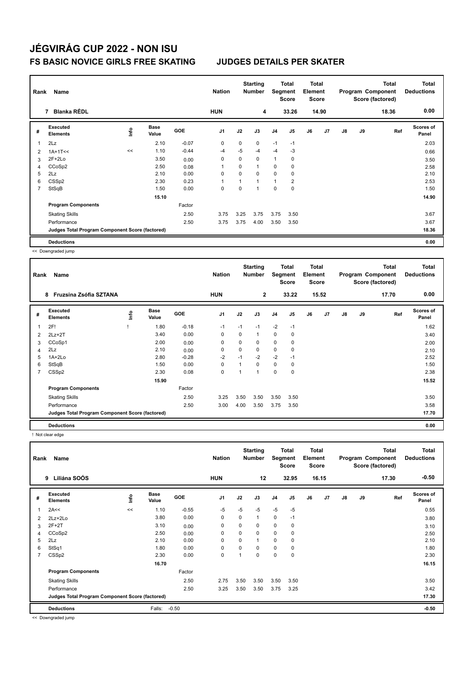| Rank           | Name<br><b>Blanka RÉDL</b><br>7                 |      |                      |            |                |      | <b>Starting</b><br><b>Number</b> | Segment        | Total<br><b>Score</b> | Total<br>Element<br><b>Score</b> |                |               |    | <b>Total</b><br>Program Component<br>Score (factored) | Total<br><b>Deductions</b> |
|----------------|-------------------------------------------------|------|----------------------|------------|----------------|------|----------------------------------|----------------|-----------------------|----------------------------------|----------------|---------------|----|-------------------------------------------------------|----------------------------|
|                |                                                 |      |                      |            | <b>HUN</b>     |      | 4                                |                | 33.26                 |                                  | 14.90          |               |    | 18.36                                                 | 0.00                       |
| #              | Executed<br><b>Elements</b>                     | ١nf٥ | <b>Base</b><br>Value | <b>GOE</b> | J <sub>1</sub> | J2   | J3                               | J <sub>4</sub> | J <sub>5</sub>        | J6                               | J <sub>7</sub> | $\mathsf{J}8$ | J9 | Ref                                                   | Scores of<br>Panel         |
| 1              | 2Lz                                             |      | 2.10                 | $-0.07$    | 0              | 0    | 0                                | $-1$           | $-1$                  |                                  |                |               |    |                                                       | 2.03                       |
| $\overline{2}$ | $1A+1T<<$                                       | <<   | 1.10                 | $-0.44$    | $-4$           | $-5$ | $-4$                             | $-4$           | $-3$                  |                                  |                |               |    |                                                       | 0.66                       |
| 3              | $2F+2Lo$                                        |      | 3.50                 | 0.00       | 0              | 0    | $\Omega$                         | $\mathbf{1}$   | 0                     |                                  |                |               |    |                                                       | 3.50                       |
| 4              | CCoSp2                                          |      | 2.50                 | 0.08       | 1              | 0    | 1                                | 0              | 0                     |                                  |                |               |    |                                                       | 2.58                       |
| 5              | 2Lz                                             |      | 2.10                 | 0.00       | 0              | 0    | $\Omega$                         | $\mathbf 0$    | 0                     |                                  |                |               |    |                                                       | 2.10                       |
| 6              | CSS <sub>p2</sub>                               |      | 2.30                 | 0.23       | 1              |      | $\mathbf{1}$                     | $\mathbf{1}$   | $\overline{2}$        |                                  |                |               |    |                                                       | 2.53                       |
| 7              | StSqB                                           |      | 1.50                 | 0.00       | 0              | 0    | $\mathbf 1$                      | $\mathbf 0$    | $\mathbf 0$           |                                  |                |               |    |                                                       | 1.50                       |
|                |                                                 |      | 15.10                |            |                |      |                                  |                |                       |                                  |                |               |    |                                                       | 14.90                      |
|                | <b>Program Components</b>                       |      |                      | Factor     |                |      |                                  |                |                       |                                  |                |               |    |                                                       |                            |
|                | <b>Skating Skills</b>                           |      |                      | 2.50       | 3.75           | 3.25 | 3.75                             | 3.75           | 3.50                  |                                  |                |               |    |                                                       | 3.67                       |
|                | Performance                                     |      |                      | 2.50       | 3.75           | 3.75 | 4.00                             | 3.50           | 3.50                  |                                  |                |               |    |                                                       | 3.67                       |
|                | Judges Total Program Component Score (factored) |      |                      |            |                |      |                                  |                |                       |                                  |                |               |    |                                                       | 18.36                      |
|                | <b>Deductions</b>                               |      |                      |            |                |      |                                  |                |                       |                                  |                |               |    |                                                       | 0.00                       |

<< Downgraded jump

| Rank | Name                                            |      | <b>Nation</b>        |            | <b>Starting</b><br><b>Number</b> | Segment | <b>Total</b><br>Score | <b>Total</b><br>Element<br><b>Score</b> |             |    |                | <b>Total</b><br>Program Component<br>Score (factored) | <b>Total</b><br><b>Deductions</b> |       |                           |
|------|-------------------------------------------------|------|----------------------|------------|----------------------------------|---------|-----------------------|-----------------------------------------|-------------|----|----------------|-------------------------------------------------------|-----------------------------------|-------|---------------------------|
|      | 8<br>Fruzsina Zsófia SZTANA                     |      |                      |            | <b>HUN</b>                       |         | $\mathbf{2}$          |                                         | 33.22       |    | 15.52          |                                                       |                                   | 17.70 | 0.00                      |
| #    | <b>Executed</b><br><b>Elements</b>              | lnfo | <b>Base</b><br>Value | <b>GOE</b> | J <sub>1</sub>                   | J2      | J3                    | J <sub>4</sub>                          | J5          | J6 | J <sub>7</sub> | $\mathsf{J}8$                                         | J9                                | Ref   | <b>Scores of</b><br>Panel |
| 1    | 2F!                                             |      | 1.80                 | $-0.18$    | $-1$                             | $-1$    | $-1$                  | $-2$                                    | $-1$        |    |                |                                                       |                                   |       | 1.62                      |
| 2    | $2Lz+2T$                                        |      | 3.40                 | 0.00       | 0                                | 0       | 1                     | 0                                       | 0           |    |                |                                                       |                                   |       | 3.40                      |
| 3    | CCoSp1                                          |      | 2.00                 | 0.00       | 0                                | 0       | 0                     | 0                                       | $\mathbf 0$ |    |                |                                                       |                                   |       | 2.00                      |
| 4    | 2Lz                                             |      | 2.10                 | 0.00       | 0                                | 0       | 0                     | 0                                       | 0           |    |                |                                                       |                                   |       | 2.10                      |
| 5    | $1A+2Lo$                                        |      | 2.80                 | $-0.28$    | $-2$                             | $-1$    | $-2$                  | $-2$                                    | $-1$        |    |                |                                                       |                                   |       | 2.52                      |
| 6    | StSqB                                           |      | 1.50                 | 0.00       | 0                                |         | 0                     | $\mathbf 0$                             | 0           |    |                |                                                       |                                   |       | 1.50                      |
| 7    | CSSp2                                           |      | 2.30                 | 0.08       | 0                                | ٠       | 1                     | 0                                       | $\mathbf 0$ |    |                |                                                       |                                   |       | 2.38                      |
|      |                                                 |      | 15.90                |            |                                  |         |                       |                                         |             |    |                |                                                       |                                   |       | 15.52                     |
|      | <b>Program Components</b>                       |      |                      | Factor     |                                  |         |                       |                                         |             |    |                |                                                       |                                   |       |                           |
|      | <b>Skating Skills</b>                           |      |                      | 2.50       | 3.25                             | 3.50    | 3.50                  | 3.50                                    | 3.50        |    |                |                                                       |                                   |       | 3.50                      |
|      | Performance                                     |      |                      | 2.50       | 3.00                             | 4.00    | 3.50                  | 3.75                                    | 3.50        |    |                |                                                       |                                   |       | 3.58                      |
|      | Judges Total Program Component Score (factored) |      |                      |            |                                  |         |                       |                                         |             |    |                |                                                       |                                   |       | 17.70                     |
|      | <b>Deductions</b>                               |      |                      |            |                                  |         |                       |                                         |             |    |                |                                                       |                                   |       | 0.00                      |

! Not clear edge

| Rank           | Name                                            |      | <b>Nation</b>        |            | <b>Starting</b><br><b>Number</b> | Segment  | <b>Total</b><br><b>Score</b> | <b>Total</b><br>Element<br><b>Score</b> |             |    |       | <b>Total</b><br>Program Component<br>Score (factored) | <b>Total</b><br><b>Deductions</b> |       |                           |
|----------------|-------------------------------------------------|------|----------------------|------------|----------------------------------|----------|------------------------------|-----------------------------------------|-------------|----|-------|-------------------------------------------------------|-----------------------------------|-------|---------------------------|
|                | Liliána SOÓS<br>9                               |      |                      |            | <b>HUN</b>                       |          | 12                           |                                         | 32.95       |    | 16.15 |                                                       |                                   | 17.30 | $-0.50$                   |
| #              | Executed<br><b>Elements</b>                     | ١nf٥ | <b>Base</b><br>Value | <b>GOE</b> | J <sub>1</sub>                   | J2       | J3                           | J <sub>4</sub>                          | J5          | J6 | J7    | $\mathsf{J}8$                                         | J9                                | Ref   | <b>Scores of</b><br>Panel |
|                | 2A<<                                            | <<   | 1.10                 | $-0.55$    | -5                               | $-5$     | $-5$                         | $-5$                                    | $-5$        |    |       |                                                       |                                   |       | 0.55                      |
| 2              | 2Lz+2Lo                                         |      | 3.80                 | 0.00       | $\mathbf 0$                      | 0        | $\mathbf{1}$                 | 0                                       | $-1$        |    |       |                                                       |                                   |       | 3.80                      |
| 3              | $2F+2T$                                         |      | 3.10                 | 0.00       | 0                                | $\Omega$ | 0                            | 0                                       | 0           |    |       |                                                       |                                   |       | 3.10                      |
| 4              | CCoSp2                                          |      | 2.50                 | 0.00       | 0                                | 0        | 0                            | 0                                       | $\mathbf 0$ |    |       |                                                       |                                   |       | 2.50                      |
| 5              | 2Lz                                             |      | 2.10                 | 0.00       | $\mathbf 0$                      | $\Omega$ | $\mathbf{1}$                 | $\mathbf 0$                             | $\mathbf 0$ |    |       |                                                       |                                   |       | 2.10                      |
| 6              | StSq1                                           |      | 1.80                 | 0.00       | $\mathbf 0$                      | 0        | 0                            | $\mathbf 0$                             | 0           |    |       |                                                       |                                   |       | 1.80                      |
| $\overline{7}$ | CSS <sub>p2</sub>                               |      | 2.30                 | 0.00       | $\mathbf 0$                      |          | 0                            | $\mathbf 0$                             | $\mathbf 0$ |    |       |                                                       |                                   |       | 2.30                      |
|                |                                                 |      | 16.70                |            |                                  |          |                              |                                         |             |    |       |                                                       |                                   |       | 16.15                     |
|                | <b>Program Components</b>                       |      |                      | Factor     |                                  |          |                              |                                         |             |    |       |                                                       |                                   |       |                           |
|                | <b>Skating Skills</b>                           |      |                      | 2.50       | 2.75                             | 3.50     | 3.50                         | 3.50                                    | 3.50        |    |       |                                                       |                                   |       | 3.50                      |
|                | Performance                                     |      |                      | 2.50       | 3.25                             | 3.50     | 3.50                         | 3.75                                    | 3.25        |    |       |                                                       |                                   |       | 3.42                      |
|                | Judges Total Program Component Score (factored) |      |                      |            |                                  |          |                              |                                         |             |    |       |                                                       |                                   |       | 17.30                     |
|                | <b>Deductions</b>                               |      | Falls:               | $-0.50$    |                                  |          |                              |                                         |             |    |       |                                                       |                                   |       | $-0.50$                   |

<< Downgraded jump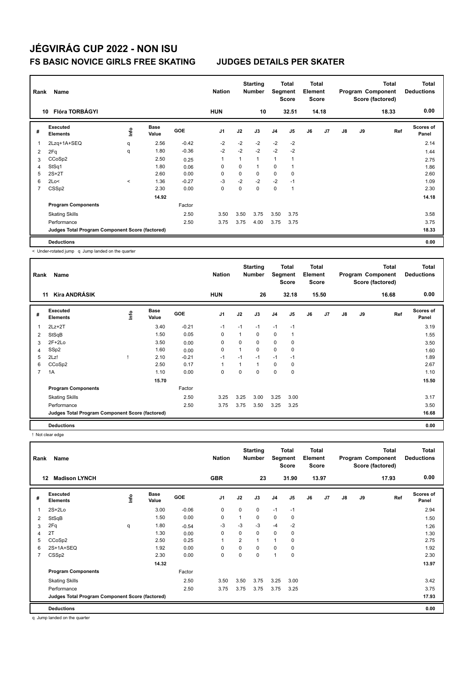| Rank           | Name<br>Flóra TORBÁGYI<br>10                    |          |                      |            |                |             | <b>Starting</b><br><b>Number</b> | Segment        | <b>Total</b><br><b>Score</b> | <b>Total</b><br>Element<br><b>Score</b> |                |               |    | <b>Total</b><br>Program Component<br>Score (factored) | <b>Total</b><br><b>Deductions</b> |
|----------------|-------------------------------------------------|----------|----------------------|------------|----------------|-------------|----------------------------------|----------------|------------------------------|-----------------------------------------|----------------|---------------|----|-------------------------------------------------------|-----------------------------------|
|                |                                                 |          |                      |            | <b>HUN</b>     |             | 10                               |                | 32.51                        |                                         | 14.18          |               |    | 18.33                                                 | 0.00                              |
| #              | Executed<br><b>Elements</b>                     | lnfo     | <b>Base</b><br>Value | <b>GOE</b> | J <sub>1</sub> | J2          | J3                               | J <sub>4</sub> | J5                           | J6                                      | J <sub>7</sub> | $\mathsf{J}8$ | J9 | Ref                                                   | <b>Scores of</b><br>Panel         |
| $\overline{1}$ | 2Lzq+1A+SEQ                                     | q        | 2.56                 | $-0.42$    | $-2$           | $-2$        | $-2$                             | $-2$           | $-2$                         |                                         |                |               |    |                                                       | 2.14                              |
| $\overline{2}$ | 2Fq                                             | q        | 1.80                 | $-0.36$    | $-2$           | $-2$        | $-2$                             | $-2$           | $-2$                         |                                         |                |               |    |                                                       | 1.44                              |
| 3              | CCoSp2                                          |          | 2.50                 | 0.25       | 1              |             | $\mathbf{1}$                     | 1              |                              |                                         |                |               |    |                                                       | 2.75                              |
| 4              | StSq1                                           |          | 1.80                 | 0.06       | 0              | 0           | 1                                | 0              |                              |                                         |                |               |    |                                                       | 1.86                              |
| 5              | $2S+2T$                                         |          | 2.60                 | 0.00       | 0              | $\mathbf 0$ | 0                                | $\mathbf 0$    | 0                            |                                         |                |               |    |                                                       | 2.60                              |
| 6              | 2Lo<                                            | $\hat{}$ | 1.36                 | $-0.27$    | $-3$           | $-2$        | $-2$                             | $-2$           | $-1$                         |                                         |                |               |    |                                                       | 1.09                              |
| $\overline{7}$ | CSS <sub>p2</sub>                               |          | 2.30                 | 0.00       | 0              | 0           | 0                                | $\mathbf 0$    | 1                            |                                         |                |               |    |                                                       | 2.30                              |
|                |                                                 |          | 14.92                |            |                |             |                                  |                |                              |                                         |                |               |    |                                                       | 14.18                             |
|                | <b>Program Components</b>                       |          |                      | Factor     |                |             |                                  |                |                              |                                         |                |               |    |                                                       |                                   |
|                | <b>Skating Skills</b>                           |          |                      | 2.50       | 3.50           | 3.50        | 3.75                             | 3.50           | 3.75                         |                                         |                |               |    |                                                       | 3.58                              |
|                | Performance                                     |          |                      | 2.50       | 3.75           | 3.75        | 4.00                             | 3.75           | 3.75                         |                                         |                |               |    |                                                       | 3.75                              |
|                | Judges Total Program Component Score (factored) |          |                      |            |                |             |                                  |                |                              |                                         |                |               |    |                                                       | 18.33                             |
|                | <b>Deductions</b>                               |          |                      |            |                |             |                                  |                |                              |                                         |                |               |    |                                                       | 0.00                              |

< Under-rotated jump q Jump landed on the quarter

| Rank           | Name                                            |    | <b>Nation</b>        |            | <b>Starting</b><br><b>Number</b> | Segment | Total<br><b>Score</b> | <b>Total</b><br>Element<br><b>Score</b> |                |    |       | Total<br>Program Component<br>Score (factored) | <b>Total</b><br><b>Deductions</b> |       |                           |
|----------------|-------------------------------------------------|----|----------------------|------------|----------------------------------|---------|-----------------------|-----------------------------------------|----------------|----|-------|------------------------------------------------|-----------------------------------|-------|---------------------------|
|                | <b>Kíra ANDRÁSIK</b><br>11                      |    |                      |            | <b>HUN</b>                       |         | 26                    |                                         | 32.18          |    | 15.50 |                                                |                                   | 16.68 | 0.00                      |
| #              | Executed<br><b>Elements</b>                     | ۴ů | <b>Base</b><br>Value | <b>GOE</b> | J <sub>1</sub>                   | J2      | J3                    | J <sub>4</sub>                          | J <sub>5</sub> | J6 | J7    | $\mathsf{J}8$                                  | J9                                | Ref   | <b>Scores of</b><br>Panel |
| 1              | $2Lz+2T$                                        |    | 3.40                 | $-0.21$    | $-1$                             | $-1$    | $-1$                  | $-1$                                    | $-1$           |    |       |                                                |                                   |       | 3.19                      |
| 2              | StSqB                                           |    | 1.50                 | 0.05       | 0                                | 1       | 0                     | $\mathbf 0$                             | 1              |    |       |                                                |                                   |       | 1.55                      |
| 3              | $2F+2Lo$                                        |    | 3.50                 | 0.00       | 0                                | 0       | 0                     | 0                                       | 0              |    |       |                                                |                                   |       | 3.50                      |
| 4              | SS <sub>p2</sub>                                |    | 1.60                 | 0.00       | 0                                | 1       | 0                     | $\mathbf 0$                             | 0              |    |       |                                                |                                   |       | 1.60                      |
| 5              | 2Lz!                                            |    | 2.10                 | $-0.21$    | $-1$                             | $-1$    | $-1$                  | $-1$                                    | $-1$           |    |       |                                                |                                   |       | 1.89                      |
| 6              | CCoSp2                                          |    | 2.50                 | 0.17       | $\mathbf{1}$                     | 1       | 1                     | $\mathbf 0$                             | 0              |    |       |                                                |                                   |       | 2.67                      |
| $\overline{7}$ | 1A                                              |    | 1.10                 | 0.00       | 0                                | 0       | 0                     | $\mathbf 0$                             | 0              |    |       |                                                |                                   |       | 1.10                      |
|                |                                                 |    | 15.70                |            |                                  |         |                       |                                         |                |    |       |                                                |                                   |       | 15.50                     |
|                | <b>Program Components</b>                       |    |                      | Factor     |                                  |         |                       |                                         |                |    |       |                                                |                                   |       |                           |
|                | <b>Skating Skills</b>                           |    |                      | 2.50       | 3.25                             | 3.25    | 3.00                  | 3.25                                    | 3.00           |    |       |                                                |                                   |       | 3.17                      |
|                | Performance                                     |    |                      | 2.50       | 3.75                             | 3.75    | 3.50                  | 3.25                                    | 3.25           |    |       |                                                |                                   |       | 3.50                      |
|                | Judges Total Program Component Score (factored) |    |                      |            |                                  |         |                       |                                         |                |    |       |                                                |                                   |       | 16.68                     |
|                | <b>Deductions</b>                               |    |                      |            |                                  |         |                       |                                         |                |    |       |                                                |                                   |       | 0.00                      |

! Not clear edge

| Rank           | Name                                            |      |                      |            | <b>Nation</b>  |          | <b>Starting</b><br><b>Number</b> | Segment        | <b>Total</b><br>Score | <b>Total</b><br>Element<br><b>Score</b> |       |               |    | <b>Total</b><br>Program Component<br>Score (factored) | Total<br><b>Deductions</b> |
|----------------|-------------------------------------------------|------|----------------------|------------|----------------|----------|----------------------------------|----------------|-----------------------|-----------------------------------------|-------|---------------|----|-------------------------------------------------------|----------------------------|
|                | <b>Madison LYNCH</b><br>12                      |      |                      |            | <b>GBR</b>     |          | 23                               |                | 31.90                 |                                         | 13.97 |               |    | 17.93                                                 | 0.00                       |
| #              | Executed<br><b>Elements</b>                     | ١nf٥ | <b>Base</b><br>Value | <b>GOE</b> | J <sub>1</sub> | J2       | J3                               | J <sub>4</sub> | J <sub>5</sub>        | J6                                      | J7    | $\mathsf{J}8$ | J9 | Ref                                                   | Scores of<br>Panel         |
|                | $2S+2Lo$                                        |      | 3.00                 | $-0.06$    | 0              | 0        | 0                                | $-1$           | $-1$                  |                                         |       |               |    |                                                       | 2.94                       |
| 2              | StSqB                                           |      | 1.50                 | 0.00       | $\mathbf 0$    | 1        | 0                                | $\mathbf 0$    | 0                     |                                         |       |               |    |                                                       | 1.50                       |
| 3              | 2Fq                                             | q    | 1.80                 | $-0.54$    | $-3$           | $-3$     | $-3$                             | $-4$           | $-2$                  |                                         |       |               |    |                                                       | 1.26                       |
| 4              | 2T                                              |      | 1.30                 | 0.00       | 0              | 0        | 0                                | 0              | 0                     |                                         |       |               |    |                                                       | 1.30                       |
| 5              | CCoSp2                                          |      | 2.50                 | 0.25       | $\overline{1}$ | 2        | 1                                |                | 0                     |                                         |       |               |    |                                                       | 2.75                       |
| 6              | 2S+1A+SEQ                                       |      | 1.92                 | 0.00       | 0              | 0        | 0                                | 0              | 0                     |                                         |       |               |    |                                                       | 1.92                       |
| $\overline{7}$ | CSS <sub>p2</sub>                               |      | 2.30                 | 0.00       | $\mathbf 0$    | $\Omega$ | 0                                | $\overline{1}$ | 0                     |                                         |       |               |    |                                                       | 2.30                       |
|                |                                                 |      | 14.32                |            |                |          |                                  |                |                       |                                         |       |               |    |                                                       | 13.97                      |
|                | <b>Program Components</b>                       |      |                      | Factor     |                |          |                                  |                |                       |                                         |       |               |    |                                                       |                            |
|                | <b>Skating Skills</b>                           |      |                      | 2.50       | 3.50           | 3.50     | 3.75                             | 3.25           | 3.00                  |                                         |       |               |    |                                                       | 3.42                       |
|                | Performance                                     |      |                      | 2.50       | 3.75           | 3.75     | 3.75                             | 3.75           | 3.25                  |                                         |       |               |    |                                                       | 3.75                       |
|                | Judges Total Program Component Score (factored) |      |                      |            |                |          |                                  |                |                       |                                         |       |               |    |                                                       | 17.93                      |
|                | <b>Deductions</b>                               |      |                      |            |                |          |                                  |                |                       |                                         |       |               |    |                                                       | 0.00                       |

q Jump landed on the quarter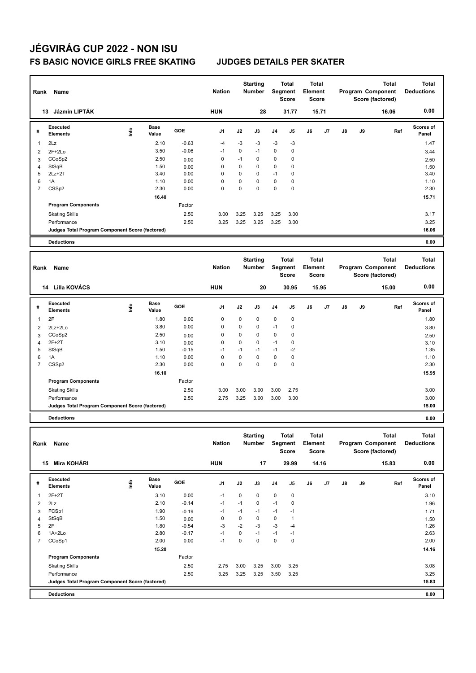| Rank                | Name                                            |                                  |                      |              | <b>Nation</b>    |                  | <b>Starting</b><br>Number |                  | <b>Total</b><br>Segment<br><b>Score</b> | <b>Total</b><br>Element<br><b>Score</b> |       |    |    | Total<br>Program Component<br>Score (factored) | <b>Total</b><br><b>Deductions</b> |
|---------------------|-------------------------------------------------|----------------------------------|----------------------|--------------|------------------|------------------|---------------------------|------------------|-----------------------------------------|-----------------------------------------|-------|----|----|------------------------------------------------|-----------------------------------|
|                     | 13 Jázmin LIPTÁK                                |                                  |                      |              | <b>HUN</b>       |                  | 28                        |                  | 31.77                                   |                                         | 15.71 |    |    | 16.06                                          | 0.00                              |
| #                   | Executed<br><b>Elements</b>                     | lnfo                             | <b>Base</b><br>Value | GOE          | J1               | J2               | J3                        | J4               | J5                                      | J6                                      | J7    | J8 | J9 | Ref                                            | <b>Scores of</b><br>Panel         |
| $\mathbf{1}$        | 2Lz                                             |                                  | 2.10                 | $-0.63$      | $-4$             | -3               | -3                        | -3               | $-3$                                    |                                         |       |    |    |                                                | 1.47                              |
| 2                   | $2F+2Lo$                                        |                                  | 3.50                 | $-0.06$      | $-1$             | 0                | $-1$                      | 0                | 0                                       |                                         |       |    |    |                                                | 3.44                              |
| 3                   | CCoSp2                                          |                                  | 2.50                 | 0.00         | 0                | $-1$             | 0                         | $\mathbf 0$      | 0                                       |                                         |       |    |    |                                                | 2.50                              |
| 4                   | StSqB                                           |                                  | 1.50                 | 0.00         | 0                | 0                | 0                         | 0                | 0                                       |                                         |       |    |    |                                                | 1.50                              |
| 5                   | $2Lz+2T$                                        |                                  | 3.40                 | 0.00         | 0                | 0                | 0<br>0                    | $-1$             | 0                                       |                                         |       |    |    |                                                | 3.40                              |
| 6<br>$\overline{7}$ | 1A<br>CSS <sub>p2</sub>                         |                                  | 1.10<br>2.30         | 0.00<br>0.00 | 0<br>$\mathbf 0$ | 0<br>$\mathbf 0$ | $\mathbf 0$               | 0<br>$\mathsf 0$ | 0<br>$\mathbf 0$                        |                                         |       |    |    |                                                | 1.10<br>2.30                      |
|                     |                                                 |                                  | 16.40                |              |                  |                  |                           |                  |                                         |                                         |       |    |    |                                                | 15.71                             |
|                     | <b>Program Components</b>                       |                                  |                      | Factor       |                  |                  |                           |                  |                                         |                                         |       |    |    |                                                |                                   |
|                     |                                                 |                                  |                      | 2.50         | 3.00             | 3.25             | 3.25                      | 3.25             | 3.00                                    |                                         |       |    |    |                                                | 3.17                              |
|                     | <b>Skating Skills</b><br>Performance            |                                  |                      | 2.50         | 3.25             | 3.25             | 3.25                      | 3.25             | 3.00                                    |                                         |       |    |    |                                                | 3.25                              |
|                     | Judges Total Program Component Score (factored) |                                  |                      |              |                  |                  |                           |                  |                                         |                                         |       |    |    |                                                | 16.06                             |
|                     |                                                 |                                  |                      |              |                  |                  |                           |                  |                                         |                                         |       |    |    |                                                |                                   |
|                     | <b>Deductions</b>                               |                                  |                      |              |                  |                  |                           |                  |                                         |                                         |       |    |    |                                                | 0.00                              |
|                     |                                                 |                                  |                      |              |                  |                  |                           |                  |                                         |                                         |       |    |    |                                                |                                   |
|                     |                                                 |                                  |                      |              | <b>Nation</b>    |                  | <b>Starting</b>           |                  | Total                                   | Total                                   |       |    |    | Total                                          | <b>Total</b>                      |
| Rank                | Name                                            |                                  |                      |              |                  |                  | <b>Number</b>             |                  | Segment<br><b>Score</b>                 | Element                                 | Score |    |    | Program Component<br>Score (factored)          | <b>Deductions</b>                 |
|                     |                                                 |                                  |                      |              |                  |                  |                           |                  |                                         |                                         |       |    |    |                                                |                                   |
|                     | 14 Lilla KOVÁCS                                 |                                  |                      |              | <b>HUN</b>       |                  | 20                        |                  | 30.95                                   |                                         | 15.95 |    |    | 15.00                                          | 0.00                              |
|                     |                                                 |                                  |                      |              |                  |                  |                           |                  |                                         |                                         |       |    |    |                                                |                                   |
| #                   | <b>Executed</b><br><b>Elements</b>              | lnfo                             | <b>Base</b><br>Value | GOE          | J1               | J2               | J3                        | J4               | J5                                      | J6                                      | J7    | J8 | J9 | Ref                                            | Scores of<br>Panel                |
| 1                   | 2F                                              |                                  | 1.80                 | 0.00         | 0                | 0                | $\mathbf 0$               | 0                | 0                                       |                                         |       |    |    |                                                | 1.80                              |
| $\overline{2}$      | 2Lz+2Lo                                         |                                  | 3.80                 | 0.00         | 0                | 0                | 0                         | $-1$             | 0                                       |                                         |       |    |    |                                                | 3.80                              |
| 3                   | CCoSp2                                          |                                  | 2.50                 | 0.00         | 0                | 0                | 0                         | 0                | 0                                       |                                         |       |    |    |                                                |                                   |
| 4                   | $2F+2T$                                         |                                  | 3.10                 | 0.00         | 0                | 0                | 0                         | $-1$             | 0                                       |                                         |       |    |    |                                                | 2.50<br>3.10                      |
| 5                   | StSqB                                           |                                  | 1.50                 | $-0.15$      | $-1$             | $-1$             | $-1$                      | $-1$             | $-2$                                    |                                         |       |    |    |                                                | 1.35                              |
| 6                   | 1A                                              |                                  | 1.10                 | 0.00         | 0                | 0                | 0                         | 0                | 0                                       |                                         |       |    |    |                                                | 1.10                              |
| $\overline{7}$      | CSS <sub>p2</sub>                               |                                  | 2.30                 | 0.00         | $\mathbf 0$      | $\mathbf 0$      | $\mathbf 0$               | 0                | 0                                       |                                         |       |    |    |                                                | 2.30                              |
|                     |                                                 |                                  | 16.10                |              |                  |                  |                           |                  |                                         |                                         |       |    |    |                                                | 15.95                             |
|                     | <b>Program Components</b>                       |                                  |                      | Factor       |                  |                  |                           |                  |                                         |                                         |       |    |    |                                                |                                   |
|                     | <b>Skating Skills</b>                           |                                  |                      | 2.50         | 3.00             | 3.00             | 3.00                      | 3.00             | 2.75                                    |                                         |       |    |    |                                                | 3.00                              |
|                     | Performance                                     |                                  |                      | 2.50         | 2.75             | 3.25             | 3.00                      | 3.00             | 3.00                                    |                                         |       |    |    |                                                | 3.00                              |
|                     | Judges Total Program Component Score (factored) |                                  |                      |              |                  |                  |                           |                  |                                         |                                         |       |    |    |                                                | 15.00                             |
|                     | <b>Deductions</b>                               |                                  |                      |              |                  |                  |                           |                  |                                         |                                         |       |    |    |                                                | 0.00                              |
|                     |                                                 |                                  |                      |              |                  |                  |                           |                  |                                         |                                         |       |    |    |                                                |                                   |
|                     |                                                 |                                  |                      |              |                  |                  | <b>Starting</b>           |                  | Total                                   | Total                                   |       |    |    | Total                                          | Total                             |
|                     | Rank Name                                       |                                  |                      |              | <b>Nation</b>    |                  | Number                    |                  | Segment                                 | Element                                 |       |    |    | Program Component                              | <b>Deductions</b>                 |
|                     |                                                 |                                  |                      |              |                  |                  |                           |                  | Score                                   |                                         | Score |    |    | Score (factored)                               |                                   |
|                     | 15 Mira KOHÁRI                                  |                                  |                      |              | <b>HUN</b>       |                  | 17                        |                  | 29.99                                   |                                         | 14.16 |    |    | 15.83                                          | 0.00                              |
|                     | Executed                                        |                                  | Base                 |              |                  |                  |                           |                  |                                         |                                         |       |    |    |                                                | Scores of                         |
| #                   | Elements                                        | $\mathop{\mathsf{Irr}}\nolimits$ | Value                | GOE          | J1               | J2               | J3                        | J4               | J5                                      | J6                                      | J7    | J8 | J9 | Ref                                            | Panel                             |
| $\mathbf{1}$        | $2F+2T$                                         |                                  | 3.10                 | 0.00         | $-1$             | 0                | 0                         | $\mathsf 0$      | $\pmb{0}$                               |                                         |       |    |    |                                                | 3.10                              |
| $\overline{2}$      | 2Lz                                             |                                  | 2.10                 | $-0.14$      | $-1$             | $-1$             | 0                         | $-1$             | $\pmb{0}$                               |                                         |       |    |    |                                                | 1.96                              |
| 3                   | FCSp1                                           |                                  | 1.90                 | $-0.19$      | $-1$             | $-1$             | $-1$                      | $-1$             | $-1$                                    |                                         |       |    |    |                                                | 1.71                              |
| $\overline{4}$      | StSqB                                           |                                  | 1.50                 | 0.00         | 0                | 0                | 0                         | 0                | $\mathbf{1}$                            |                                         |       |    |    |                                                | 1.50                              |
| 5                   | 2F                                              |                                  | 1.80                 | $-0.54$      | -3               | $-2$             | $-3$                      | $-3$             | $-4$                                    |                                         |       |    |    |                                                | 1.26                              |
| 6                   | 1A+2Lo                                          |                                  | 2.80                 | $-0.17$      | $-1$             | 0                | $-1$                      | $-1$             | $-1$                                    |                                         |       |    |    |                                                | 2.63                              |
| $\overline{7}$      | CCoSp1                                          |                                  | 2.00                 | 0.00         | $-1$             | $\pmb{0}$        | $\mathbf 0$               | $\pmb{0}$        | $\pmb{0}$                               |                                         |       |    |    |                                                | 2.00                              |
|                     |                                                 |                                  | 15.20                |              |                  |                  |                           |                  |                                         |                                         |       |    |    |                                                | 14.16                             |
|                     | <b>Program Components</b>                       |                                  |                      | Factor       |                  |                  |                           |                  |                                         |                                         |       |    |    |                                                |                                   |
|                     | <b>Skating Skills</b>                           |                                  |                      | 2.50         | 2.75             | 3.00             | 3.25                      | 3.00             | 3.25                                    |                                         |       |    |    |                                                | 3.08                              |
|                     | Performance                                     |                                  |                      | 2.50         | 3.25             | 3.25             | 3.25                      | 3.50             | 3.25                                    |                                         |       |    |    |                                                | 3.25                              |

**Deductions 0.00 Judges Total Program Component Score (factored) 15.83**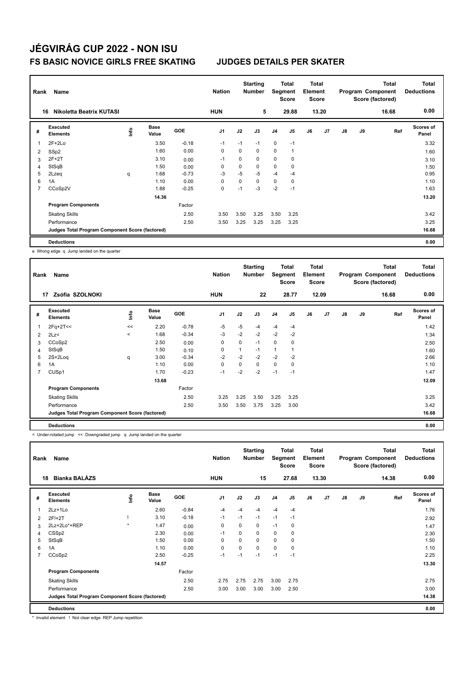| Rank | Name                                            |      |                      |            | <b>Nation</b>  |      | <b>Starting</b><br><b>Number</b> |                | <b>Total</b><br>Segment<br><b>Score</b> | Total<br>Element<br>Score |                |               |    | <b>Total</b><br>Program Component<br>Score (factored) | <b>Total</b><br><b>Deductions</b> |
|------|-------------------------------------------------|------|----------------------|------------|----------------|------|----------------------------------|----------------|-----------------------------------------|---------------------------|----------------|---------------|----|-------------------------------------------------------|-----------------------------------|
| 16   | Nikoletta Beatrix KUTASI                        |      |                      |            | <b>HUN</b>     |      | 5                                |                | 29.88                                   |                           | 13.20          |               |    | 16.68                                                 | 0.00                              |
| #    | Executed<br><b>Elements</b>                     | ١nf٥ | <b>Base</b><br>Value | <b>GOE</b> | J <sub>1</sub> | J2   | J3                               | J <sub>4</sub> | J5                                      | J6                        | J <sub>7</sub> | $\mathsf{J}8$ | J9 | Ref                                                   | Scores of<br>Panel                |
| 1    | $2F+2Lo$                                        |      | 3.50                 | $-0.18$    | $-1$           | $-1$ | $-1$                             | $\mathbf 0$    | $-1$                                    |                           |                |               |    |                                                       | 3.32                              |
| 2    | SSp2                                            |      | 1.60                 | 0.00       | $\mathbf 0$    | 0    | $\mathbf 0$                      | $\mathbf 0$    | $\overline{1}$                          |                           |                |               |    |                                                       | 1.60                              |
| 3    | $2F+2T$                                         |      | 3.10                 | 0.00       | $-1$           | 0    | $\mathbf 0$                      | $\mathbf 0$    | 0                                       |                           |                |               |    |                                                       | 3.10                              |
| 4    | StSqB                                           |      | 1.50                 | 0.00       | 0              | 0    | $\mathbf 0$                      | 0              | 0                                       |                           |                |               |    |                                                       | 1.50                              |
| 5    | 2Lzeq                                           | q    | 1.68                 | $-0.73$    | $-3$           | $-5$ | $-5$                             | $-4$           | $-4$                                    |                           |                |               |    |                                                       | 0.95                              |
| 6    | 1A                                              |      | 1.10                 | 0.00       | 0              | 0    | $\mathbf 0$                      | $\mathbf 0$    | 0                                       |                           |                |               |    |                                                       | 1.10                              |
| 7    | CCoSp2V                                         |      | 1.88                 | $-0.25$    | 0              | $-1$ | $-3$                             | $-2$           | $-1$                                    |                           |                |               |    |                                                       | 1.63                              |
|      |                                                 |      | 14.36                |            |                |      |                                  |                |                                         |                           |                |               |    |                                                       | 13.20                             |
|      | <b>Program Components</b>                       |      |                      | Factor     |                |      |                                  |                |                                         |                           |                |               |    |                                                       |                                   |
|      | <b>Skating Skills</b>                           |      |                      | 2.50       | 3.50           | 3.50 | 3.25                             | 3.50           | 3.25                                    |                           |                |               |    |                                                       | 3.42                              |
|      | Performance                                     |      |                      | 2.50       | 3.50           | 3.25 | 3.25                             | 3.25           | 3.25                                    |                           |                |               |    |                                                       | 3.25                              |
|      | Judges Total Program Component Score (factored) |      |                      |            |                |      |                                  |                |                                         |                           |                |               |    |                                                       | 16.68                             |
|      | <b>Deductions</b>                               |      |                      |            |                |      |                                  |                |                                         |                           |                |               |    |                                                       | 0.00                              |

e Wrong edge q Jump landed on the quarter

| Rank | Name                                            |         |               |            | <b>Nation</b>  |             | <b>Starting</b><br><b>Number</b> | Segment        | <b>Total</b><br>Score | Total<br>Element<br><b>Score</b> |       |               |    | <b>Total</b><br>Program Component<br>Score (factored) | <b>Total</b><br><b>Deductions</b> |
|------|-------------------------------------------------|---------|---------------|------------|----------------|-------------|----------------------------------|----------------|-----------------------|----------------------------------|-------|---------------|----|-------------------------------------------------------|-----------------------------------|
|      | Zsófia SZOLNOKI<br>17                           |         |               |            | <b>HUN</b>     |             | 22                               |                | 28.77                 |                                  | 12.09 |               |    | 16.68                                                 | 0.00                              |
| #    | <b>Executed</b><br><b>Elements</b>              | ١nf٥    | Base<br>Value | <b>GOE</b> | J <sub>1</sub> | J2          | J3                               | J <sub>4</sub> | J5                    | J6                               | J7    | $\mathsf{J}8$ | J9 | Ref                                                   | <b>Scores of</b><br>Panel         |
| 1    | $2Fq+2T<<$                                      | <<      | 2.20          | $-0.78$    | $-5$           | $-5$        | $-4$                             | $-4$           | $-4$                  |                                  |       |               |    |                                                       | 1.42                              |
| 2    | 2Lz<                                            | $\prec$ | 1.68          | $-0.34$    | $-3$           | $-2$        | $-2$                             | $-2$           | $-2$                  |                                  |       |               |    |                                                       | 1.34                              |
| 3    | CCoSp2                                          |         | 2.50          | 0.00       | 0              | $\mathbf 0$ | $-1$                             | $\mathbf 0$    | $\mathbf 0$           |                                  |       |               |    |                                                       | 2.50                              |
| 4    | StSqB                                           |         | 1.50          | 0.10       | 0              | 1           | $-1$                             | $\overline{1}$ |                       |                                  |       |               |    |                                                       | 1.60                              |
| 5    | $2S+2Log$                                       | q       | 3.00          | $-0.34$    | $-2$           | $-2$        | $-2$                             | $-2$           | $-2$                  |                                  |       |               |    |                                                       | 2.66                              |
| 6    | 1A                                              |         | 1.10          | 0.00       | 0              | 0           | 0                                | $\mathbf 0$    | 0                     |                                  |       |               |    |                                                       | 1.10                              |
| 7    | CUS <sub>p1</sub>                               |         | 1.70          | $-0.23$    | $-1$           | $-2$        | $-2$                             | $-1$           | $-1$                  |                                  |       |               |    |                                                       | 1.47                              |
|      |                                                 |         | 13.68         |            |                |             |                                  |                |                       |                                  |       |               |    |                                                       | 12.09                             |
|      | <b>Program Components</b>                       |         |               | Factor     |                |             |                                  |                |                       |                                  |       |               |    |                                                       |                                   |
|      | <b>Skating Skills</b>                           |         |               | 2.50       | 3.25           | 3.25        | 3.50                             | 3.25           | 3.25                  |                                  |       |               |    |                                                       | 3.25                              |
|      | Performance                                     |         |               | 2.50       | 3.50           | 3.50        | 3.75                             | 3.25           | 3.00                  |                                  |       |               |    |                                                       | 3.42                              |
|      | Judges Total Program Component Score (factored) |         |               |            |                |             |                                  |                |                       |                                  |       |               |    |                                                       | 16.68                             |
|      | <b>Deductions</b>                               |         |               |            |                |             |                                  |                |                       |                                  |       |               |    |                                                       | 0.00                              |

< Under-rotated jump << Downgraded jump q Jump landed on the quarter

| Rank                    | Name                                            |         |                      |            | <b>Nation</b>  |      | <b>Starting</b><br><b>Number</b> | Segment        | Total<br><b>Score</b> | Total<br>Element<br><b>Score</b> |                |               |    | Total<br>Program Component<br>Score (factored) | <b>Total</b><br><b>Deductions</b> |
|-------------------------|-------------------------------------------------|---------|----------------------|------------|----------------|------|----------------------------------|----------------|-----------------------|----------------------------------|----------------|---------------|----|------------------------------------------------|-----------------------------------|
| 18                      | <b>Bianka BALÁZS</b>                            |         |                      |            | <b>HUN</b>     |      | 15                               |                | 27.68                 |                                  | 13.30          |               |    | 14.38                                          | 0.00                              |
| #                       | Executed<br><b>Elements</b>                     | ۴       | <b>Base</b><br>Value | <b>GOE</b> | J <sub>1</sub> | J2   | J3                               | J <sub>4</sub> | J <sub>5</sub>        | J6                               | J <sub>7</sub> | $\mathsf{J}8$ | J9 | Ref                                            | <b>Scores of</b><br>Panel         |
| $\overline{\mathbf{1}}$ | 2Lz+1Lo                                         |         | 2.60                 | $-0.84$    | $-4$           | $-4$ | $-4$                             | $-4$           | $-4$                  |                                  |                |               |    |                                                | 1.76                              |
| 2                       | 2F!+2T                                          |         | 3.10                 | $-0.18$    | $-1$           | $-1$ | $-1$                             | $-1$           | $-1$                  |                                  |                |               |    |                                                | 2.92                              |
| 3                       | 2Lz+2Lo*+REP                                    | $\star$ | 1.47                 | 0.00       | 0              | 0    | 0                                | $-1$           | 0                     |                                  |                |               |    |                                                | 1.47                              |
| 4                       | CSS <sub>p2</sub>                               |         | 2.30                 | 0.00       | $-1$           | 0    | 0                                | $\mathbf 0$    | 0                     |                                  |                |               |    |                                                | 2.30                              |
| 5                       | StSqB                                           |         | 1.50                 | 0.00       | 0              | 0    | 0                                | 0              | 0                     |                                  |                |               |    |                                                | 1.50                              |
| 6                       | 1A                                              |         | 1.10                 | 0.00       | $\mathbf 0$    | 0    | 0                                | $\mathbf 0$    | 0                     |                                  |                |               |    |                                                | 1.10                              |
| $\overline{7}$          | CCoSp2                                          |         | 2.50                 | $-0.25$    | $-1$           | $-1$ | $-1$                             | $-1$           | $-1$                  |                                  |                |               |    |                                                | 2.25                              |
|                         |                                                 |         | 14.57                |            |                |      |                                  |                |                       |                                  |                |               |    |                                                | 13.30                             |
|                         | <b>Program Components</b>                       |         |                      | Factor     |                |      |                                  |                |                       |                                  |                |               |    |                                                |                                   |
|                         | <b>Skating Skills</b>                           |         |                      | 2.50       | 2.75           | 2.75 | 2.75                             | 3.00           | 2.75                  |                                  |                |               |    |                                                | 2.75                              |
|                         | Performance                                     |         |                      | 2.50       | 3.00           | 3.00 | 3.00                             | 3.00           | 2.50                  |                                  |                |               |    |                                                | 3.00                              |
|                         | Judges Total Program Component Score (factored) |         |                      |            |                |      |                                  |                |                       |                                  |                |               |    |                                                | 14.38                             |
|                         | <b>Deductions</b>                               |         |                      |            |                |      |                                  |                |                       |                                  |                |               |    |                                                | 0.00                              |

\* Invalid element ! Not clear edge REP Jump repetition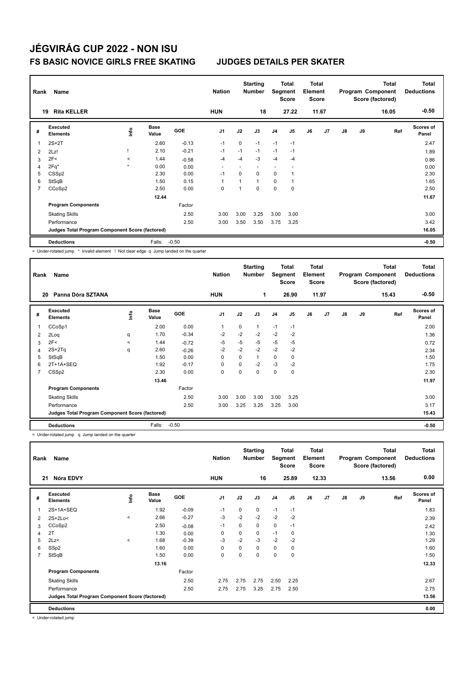| Rank           | Name                                            |                          |                      |         | <b>Nation</b>            |             | <b>Starting</b><br><b>Number</b> | Segment                  | <b>Total</b><br>Score | <b>Total</b><br>Element<br><b>Score</b> |       |               |    | <b>Total</b><br>Program Component<br>Score (factored) | <b>Total</b><br><b>Deductions</b> |
|----------------|-------------------------------------------------|--------------------------|----------------------|---------|--------------------------|-------------|----------------------------------|--------------------------|-----------------------|-----------------------------------------|-------|---------------|----|-------------------------------------------------------|-----------------------------------|
|                | <b>Rita KELLER</b><br>19                        |                          |                      |         | <b>HUN</b>               |             | 18                               |                          | 27.22                 |                                         | 11.67 |               |    | 16.05                                                 | $-0.50$                           |
| #              | <b>Executed</b><br><b>Elements</b>              | ۴ů                       | <b>Base</b><br>Value | GOE     | J <sub>1</sub>           | J2          | J3                               | J <sub>4</sub>           | J <sub>5</sub>        | J6                                      | J7    | $\mathsf{J}8$ | J9 | Ref                                                   | <b>Scores of</b><br>Panel         |
| 1              | $2S+2T$                                         |                          | 2.60                 | $-0.13$ | $-1$                     | $\mathbf 0$ | $-1$                             | $-1$                     | $-1$                  |                                         |       |               |    |                                                       | 2.47                              |
| $\overline{2}$ | 2Lz!                                            |                          | 2.10                 | $-0.21$ | $-1$                     | $-1$        | $-1$                             | $-1$                     | $-1$                  |                                         |       |               |    |                                                       | 1.89                              |
| 3              | 2F<                                             | $\overline{\phantom{0}}$ | 1.44                 | $-0.58$ | $-4$                     | $-4$        | $-3$                             | $-4$                     | $-4$                  |                                         |       |               |    |                                                       | 0.86                              |
| 4              | $2Fq*$                                          | $\star$                  | 0.00                 | 0.00    | $\overline{\phantom{0}}$ |             | <u>. .</u>                       | $\overline{\phantom{a}}$ |                       |                                         |       |               |    |                                                       | 0.00                              |
| 5              | CSS <sub>p2</sub>                               |                          | 2.30                 | 0.00    | $-1$                     | $\Omega$    | $\Omega$                         | 0                        |                       |                                         |       |               |    |                                                       | 2.30                              |
| 6              | StSqB                                           |                          | 1.50                 | 0.15    | -1                       | 1           | $\mathbf{1}$                     | 0                        |                       |                                         |       |               |    |                                                       | 1.65                              |
| 7              | CCoSp2                                          |                          | 2.50                 | 0.00    | 0                        |             | $\Omega$                         | $\mathbf 0$              | $\mathbf 0$           |                                         |       |               |    |                                                       | 2.50                              |
|                |                                                 |                          | 12.44                |         |                          |             |                                  |                          |                       |                                         |       |               |    |                                                       | 11.67                             |
|                | <b>Program Components</b>                       |                          |                      | Factor  |                          |             |                                  |                          |                       |                                         |       |               |    |                                                       |                                   |
|                | <b>Skating Skills</b>                           |                          |                      | 2.50    | 3.00                     | 3.00        | 3.25                             | 3.00                     | 3.00                  |                                         |       |               |    |                                                       | 3.00                              |
|                | Performance                                     |                          |                      | 2.50    | 3.00                     | 3.50        | 3.50                             | 3.75                     | 3.25                  |                                         |       |               |    |                                                       | 3.42                              |
|                | Judges Total Program Component Score (factored) |                          |                      |         |                          |             |                                  |                          |                       |                                         |       |               |    |                                                       | 16.05                             |
|                | <b>Deductions</b>                               |                          | Falls:               | $-0.50$ |                          |             |                                  |                          |                       |                                         |       |               |    |                                                       | $-0.50$                           |

< Under-rotated jump \* Invalid element ! Not clear edge q Jump landed on the quarter

| Rank           | Name                                            |              |               |         | <b>Nation</b>  |          | <b>Starting</b><br><b>Number</b> | Segment     | <b>Total</b><br><b>Score</b> | Total<br>Element<br><b>Score</b> |                |               |    | <b>Total</b><br>Program Component<br>Score (factored) | <b>Total</b><br><b>Deductions</b> |
|----------------|-------------------------------------------------|--------------|---------------|---------|----------------|----------|----------------------------------|-------------|------------------------------|----------------------------------|----------------|---------------|----|-------------------------------------------------------|-----------------------------------|
| 20             | Panna Dóra SZTANA                               |              |               |         | <b>HUN</b>     |          | 1                                |             | 26.90                        |                                  | 11.97          |               |    | 15.43                                                 | $-0.50$                           |
| #              | Executed<br><b>Elements</b>                     | ١nfo         | Base<br>Value | GOE     | J <sub>1</sub> | J2       | J3                               | J4          | J5                           | J6                               | J <sub>7</sub> | $\mathsf{J}8$ | J9 | Ref                                                   | <b>Scores of</b><br>Panel         |
|                | CCoSp1                                          |              | 2.00          | 0.00    | $\mathbf{1}$   | $\Omega$ | 1                                | $-1$        | $-1$                         |                                  |                |               |    |                                                       | 2.00                              |
| 2              | 2Loq                                            | q            | 1.70          | $-0.34$ | $-2$           | $-2$     | $-2$                             | $-2$        | $-2$                         |                                  |                |               |    |                                                       | 1.36                              |
| 3              | 2F<                                             | $\checkmark$ | 1.44          | $-0.72$ | $-5$           | $-5$     | $-5$                             | $-5$        | -5                           |                                  |                |               |    |                                                       | 0.72                              |
| 4              | $2S+2Tq$                                        | q            | 2.60          | $-0.26$ | $-2$           | $-2$     | $-2$                             | $-2$        | $-2$                         |                                  |                |               |    |                                                       | 2.34                              |
| 5              | StSqB                                           |              | 1.50          | 0.00    | 0              | 0        | 1                                | 0           | 0                            |                                  |                |               |    |                                                       | 1.50                              |
| 6              | 2T+1A+SEQ                                       |              | 1.92          | $-0.17$ | 0              | 0        | $-2$                             | $-3$        | $-2$                         |                                  |                |               |    |                                                       | 1.75                              |
| $\overline{7}$ | CSS <sub>p2</sub>                               |              | 2.30          | 0.00    | 0              | 0        | 0                                | $\mathbf 0$ | $\mathbf 0$                  |                                  |                |               |    |                                                       | 2.30                              |
|                |                                                 |              | 13.46         |         |                |          |                                  |             |                              |                                  |                |               |    |                                                       | 11.97                             |
|                | <b>Program Components</b>                       |              |               | Factor  |                |          |                                  |             |                              |                                  |                |               |    |                                                       |                                   |
|                | <b>Skating Skills</b>                           |              |               | 2.50    | 3.00           | 3.00     | 3.00                             | 3.00        | 3.25                         |                                  |                |               |    |                                                       | 3.00                              |
|                | Performance                                     |              |               | 2.50    | 3.00           | 3.25     | 3.25                             | 3.25        | 3.00                         |                                  |                |               |    |                                                       | 3.17                              |
|                | Judges Total Program Component Score (factored) |              |               |         |                |          |                                  |             |                              |                                  |                |               |    |                                                       | 15.43                             |
|                | <b>Deductions</b>                               |              | Falls:        | $-0.50$ |                |          |                                  |             |                              |                                  |                |               |    |                                                       | $-0.50$                           |

< Under-rotated jump q Jump landed on the quarter

| Rank                    | Name                                            |         |               |            | <b>Nation</b>  |             | <b>Starting</b><br><b>Number</b> | Segment        | <b>Total</b><br><b>Score</b> | <b>Total</b><br>Element<br><b>Score</b> |       |               |    | <b>Total</b><br>Program Component<br>Score (factored) | <b>Total</b><br><b>Deductions</b> |
|-------------------------|-------------------------------------------------|---------|---------------|------------|----------------|-------------|----------------------------------|----------------|------------------------------|-----------------------------------------|-------|---------------|----|-------------------------------------------------------|-----------------------------------|
| 21                      | Nóra EDVY                                       |         |               |            | <b>HUN</b>     |             | 16                               |                | 25.89                        |                                         | 12.33 |               |    | 13.56                                                 | 0.00                              |
| #                       | Executed<br><b>Elements</b>                     | ١nfo    | Base<br>Value | <b>GOE</b> | J <sub>1</sub> | J2          | J3                               | J <sub>4</sub> | J <sub>5</sub>               | J6                                      | J7    | $\mathsf{J}8$ | J9 | Ref                                                   | Scores of<br>Panel                |
| $\overline{\mathbf{1}}$ | 2S+1A+SEQ                                       |         | 1.92          | $-0.09$    | $-1$           | 0           | 0                                | $-1$           | $-1$                         |                                         |       |               |    |                                                       | 1.83                              |
| 2                       | $2S+2Lo<$                                       | $\prec$ | 2.66          | $-0.27$    | -3             | $-2$        | $-2$                             | $-2$           | $-2$                         |                                         |       |               |    |                                                       | 2.39                              |
| 3                       | CCoSp2                                          |         | 2.50          | $-0.08$    | $-1$           | $\mathbf 0$ | 0                                | $\mathbf 0$    | $-1$                         |                                         |       |               |    |                                                       | 2.42                              |
| 4                       | 2T                                              |         | 1.30          | 0.00       | 0              | 0           | 0                                | $-1$           | 0                            |                                         |       |               |    |                                                       | 1.30                              |
| 5                       | 2Lz<                                            | $\prec$ | 1.68          | $-0.39$    | $-3$           | $-2$        | $-3$                             | $-2$           | $-2$                         |                                         |       |               |    |                                                       | 1.29                              |
| 6                       | SSp2                                            |         | 1.60          | 0.00       | 0              | 0           | 0                                | $\mathbf 0$    | 0                            |                                         |       |               |    |                                                       | 1.60                              |
| $\overline{7}$          | StSqB                                           |         | 1.50          | 0.00       | 0              | 0           | 0                                | 0              | $\mathbf 0$                  |                                         |       |               |    |                                                       | 1.50                              |
|                         |                                                 |         | 13.16         |            |                |             |                                  |                |                              |                                         |       |               |    |                                                       | 12.33                             |
|                         | <b>Program Components</b>                       |         |               | Factor     |                |             |                                  |                |                              |                                         |       |               |    |                                                       |                                   |
|                         | <b>Skating Skills</b>                           |         |               | 2.50       | 2.75           | 2.75        | 2.75                             | 2.50           | 2.25                         |                                         |       |               |    |                                                       | 2.67                              |
|                         | Performance                                     |         |               | 2.50       | 2.75           | 2.75        | 3.25                             | 2.75           | 2.50                         |                                         |       |               |    |                                                       | 2.75                              |
|                         | Judges Total Program Component Score (factored) |         |               |            |                |             |                                  |                |                              |                                         |       |               |    |                                                       | 13.56                             |
|                         | <b>Deductions</b>                               |         |               |            |                |             |                                  |                |                              |                                         |       |               |    |                                                       | 0.00                              |

< Under-rotated jump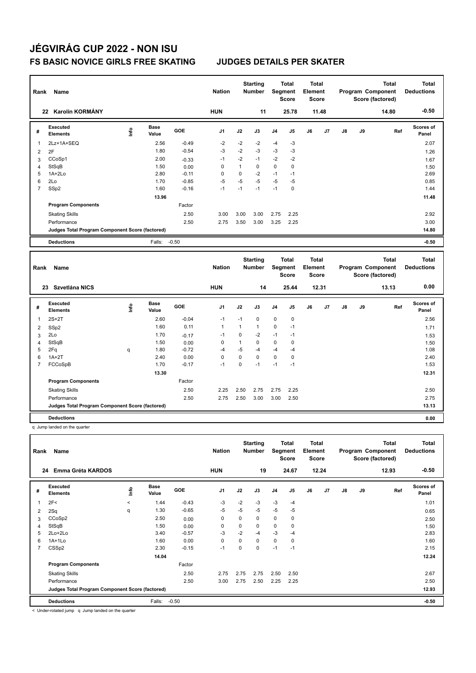| Rank           | Name                                            |      |                      |         | <b>Nation</b>  |              | <b>Starting</b><br><b>Number</b> |                | <b>Total</b><br>Segment<br><b>Score</b>        | <b>Total</b><br>Element<br>Score        |       |               |    | <b>Total</b><br>Program Component<br>Score (factored) | <b>Total</b><br><b>Deductions</b> |
|----------------|-------------------------------------------------|------|----------------------|---------|----------------|--------------|----------------------------------|----------------|------------------------------------------------|-----------------------------------------|-------|---------------|----|-------------------------------------------------------|-----------------------------------|
|                | 22 Karolin KORMÁNY                              |      |                      |         | <b>HUN</b>     |              | 11                               |                | 25.78                                          |                                         | 11.48 |               |    | 14.80                                                 | $-0.50$                           |
| #              | Executed<br><b>Elements</b>                     | Life | <b>Base</b><br>Value | GOE     | J <sub>1</sub> | J2           | J3                               | J <sub>4</sub> | J5                                             | J6                                      | J7    | $\mathsf{J}8$ | J9 | Ref                                                   | Scores of<br>Panel                |
| 1              | 2Lz+1A+SEQ                                      |      | 2.56                 | $-0.49$ | $-2$           | $-2$         | $-2$                             | $-4$           | $-3$                                           |                                         |       |               |    |                                                       | 2.07                              |
| $\overline{2}$ | 2F                                              |      | 1.80                 | $-0.54$ | $-3$           | $-2$         | $-3$                             | $-3$           | $-3$                                           |                                         |       |               |    |                                                       | 1.26                              |
| 3              | CCoSp1                                          |      | 2.00                 | $-0.33$ | $-1$           | $-2$         | $-1$                             | $-2$           | $-2$                                           |                                         |       |               |    |                                                       | 1.67                              |
| 4              | StSqB                                           |      | 1.50                 | 0.00    | $\mathbf 0$    | $\mathbf{1}$ | $\Omega$                         | $\Omega$       | 0                                              |                                         |       |               |    |                                                       | 1.50                              |
| 5              | $1A+2Lo$                                        |      | 2.80                 | $-0.11$ | $\Omega$       | $\mathbf 0$  | $-2$                             | $-1$           | $-1$                                           |                                         |       |               |    |                                                       | 2.69                              |
| 6              | 2Lo                                             |      | 1.70                 | $-0.85$ | $-5$           | $-5$         | $-5$                             | $-5$           | $-5$                                           |                                         |       |               |    |                                                       | 0.85                              |
| $\overline{7}$ | SSp2                                            |      | 1.60                 | $-0.16$ | $-1$           | $-1$         | $-1$                             | $-1$           | $\mathbf 0$                                    |                                         |       |               |    |                                                       | 1.44                              |
|                |                                                 |      | 13.96                |         |                |              |                                  |                |                                                |                                         |       |               |    |                                                       | 11.48                             |
|                | <b>Program Components</b>                       |      |                      | Factor  |                |              |                                  |                |                                                |                                         |       |               |    |                                                       |                                   |
|                | <b>Skating Skills</b>                           |      |                      | 2.50    | 3.00           | 3.00         | 3.00                             | 2.75           | 2.25                                           |                                         |       |               |    |                                                       | 2.92                              |
|                | Performance                                     |      |                      | 2.50    | 2.75           | 3.50         | 3.00                             | 3.25           | 2.25                                           |                                         |       |               |    |                                                       | 3.00                              |
|                | Judges Total Program Component Score (factored) |      |                      |         |                |              |                                  |                |                                                |                                         |       |               |    |                                                       | 14.80                             |
|                | <b>Deductions</b>                               |      | Falls:               | $-0.50$ |                |              |                                  |                |                                                |                                         |       |               |    |                                                       | $-0.50$                           |
| Rank           | Name                                            |      |                      |         | <b>Nation</b>  |              | <b>Starting</b><br><b>Number</b> |                | <b>Total</b><br><b>Segment</b><br><b>Score</b> | <b>Total</b><br>Element<br><b>Score</b> |       |               |    | <b>Total</b><br>Program Component<br>Score (factored) | <b>Total</b><br><b>Deductions</b> |
|                | 23 Szvetlána NICS                               |      |                      |         | <b>HUN</b>     |              | 14                               |                | 25.44                                          |                                         | 12.31 |               |    | 13.13                                                 | 0.00                              |
| #              | <b>Executed</b><br><b>Elements</b>              | ۴ô   | <b>Base</b><br>Value | GOE     | J <sub>1</sub> | J2           | J3                               | J <sub>4</sub> | J <sub>5</sub>                                 | J6                                      | J7    | J8            | J9 | Ref                                                   | <b>Scores of</b><br>Panel         |
| 1              | $2S+2T$                                         |      | 2.60                 | $-0.04$ | $-1$           | $-1$         | 0                                | $\mathbf 0$    | 0                                              |                                         |       |               |    |                                                       | 2.56                              |
| 2              | SSp2                                            |      | 1.60                 | 0.11    | $\mathbf{1}$   | $\mathbf{1}$ | $\mathbf{1}$                     | 0              | $-1$                                           |                                         |       |               |    |                                                       | 1.71                              |

 2Lo 1.70 -0.17 -1 0 -2 -1 -1 1.53 StSqB 1.50 0.00 0 1 0 0 0 1.50 2Fq q 1.80 -0.72 -4 -5 -4 -4 -4 1.08 1A+2T 2.40 0.00 0 0 0 0 0 2.40

| <b>Deductions</b>                               |       |         |      |      |      |      |      | 0.00  |
|-------------------------------------------------|-------|---------|------|------|------|------|------|-------|
| Judges Total Program Component Score (factored) |       |         |      |      |      |      |      | 13.13 |
| Performance                                     |       | 2.50    | 2.75 | 2.50 | 3.00 | 3.00 | 2.50 | 2.75  |
| <b>Skating Skills</b>                           |       | 2.50    | 2.25 | 2.50 | 2.75 | 2.75 | 2.25 | 2.50  |
| <b>Program Components</b>                       |       | Factor  |      |      |      |      |      |       |
|                                                 | 13.30 |         |      |      |      |      |      | 12.31 |
| FCCoSpB                                         | 1.70  | $-0.17$ | -1   |      | -1   | -1   | -1   | 1.53  |
|                                                 |       |         |      |      |      |      |      |       |

q Jump landed on the quarter

| Rank           | Name                                            |             |                      |            | <b>Nation</b>  |             | <b>Starting</b><br><b>Number</b> | Segment | Total<br><b>Score</b> | <b>Total</b><br>Element<br><b>Score</b> |                |    |    | <b>Total</b><br>Program Component<br>Score (factored) | <b>Total</b><br><b>Deductions</b> |
|----------------|-------------------------------------------------|-------------|----------------------|------------|----------------|-------------|----------------------------------|---------|-----------------------|-----------------------------------------|----------------|----|----|-------------------------------------------------------|-----------------------------------|
| 24             | Emma Gréta KARDOS                               |             |                      |            | <b>HUN</b>     |             | 19                               |         | 24.67                 |                                         | 12.24          |    |    | 12.93                                                 | $-0.50$                           |
| #              | Executed<br><b>Elements</b>                     | <u>info</u> | <b>Base</b><br>Value | <b>GOE</b> | J <sub>1</sub> | J2          | J3                               | J4      | J <sub>5</sub>        | J6                                      | J <sub>7</sub> | J8 | J9 | Ref                                                   | <b>Scores of</b><br>Panel         |
| $\mathbf{1}$   | 2F<                                             | $\prec$     | 1.44                 | $-0.43$    | -3             | $-2$        | $-3$                             | $-3$    | $-4$                  |                                         |                |    |    |                                                       | 1.01                              |
| 2              | 2Sq                                             | q           | 1.30                 | $-0.65$    | $-5$           | $-5$        | $-5$                             | $-5$    | $-5$                  |                                         |                |    |    |                                                       | 0.65                              |
| 3              | CCoSp2                                          |             | 2.50                 | 0.00       | 0              | $\mathbf 0$ | 0                                | 0       | 0                     |                                         |                |    |    |                                                       | 2.50                              |
| 4              | StSqB                                           |             | 1.50                 | 0.00       | 0              | 0           | 0                                | 0       | 0                     |                                         |                |    |    |                                                       | 1.50                              |
| 5              | $2Lo+2Lo$                                       |             | 3.40                 | $-0.57$    | $-3$           | $-2$        | $-4$                             | $-3$    | $-4$                  |                                         |                |    |    |                                                       | 2.83                              |
| 6              | $1A+1Lo$                                        |             | 1.60                 | 0.00       | 0              | 0           | 0                                | 0       | 0                     |                                         |                |    |    |                                                       | 1.60                              |
| $\overline{7}$ | CSSp2                                           |             | 2.30                 | $-0.15$    | $-1$           | 0           | 0                                | $-1$    | $-1$                  |                                         |                |    |    |                                                       | 2.15                              |
|                |                                                 |             | 14.04                |            |                |             |                                  |         |                       |                                         |                |    |    |                                                       | 12.24                             |
|                | <b>Program Components</b>                       |             |                      | Factor     |                |             |                                  |         |                       |                                         |                |    |    |                                                       |                                   |
|                | <b>Skating Skills</b>                           |             |                      | 2.50       | 2.75           | 2.75        | 2.75                             | 2.50    | 2.50                  |                                         |                |    |    |                                                       | 2.67                              |
|                | Performance                                     |             |                      | 2.50       | 3.00           | 2.75        | 2.50                             | 2.25    | 2.25                  |                                         |                |    |    |                                                       | 2.50                              |
|                | Judges Total Program Component Score (factored) |             |                      |            |                |             |                                  |         |                       |                                         |                |    |    |                                                       | 12.93                             |
|                | <b>Deductions</b>                               |             | Falls:               | $-0.50$    |                |             |                                  |         |                       |                                         |                |    |    |                                                       | $-0.50$                           |

< Under-rotated jump q Jump landed on the quarter